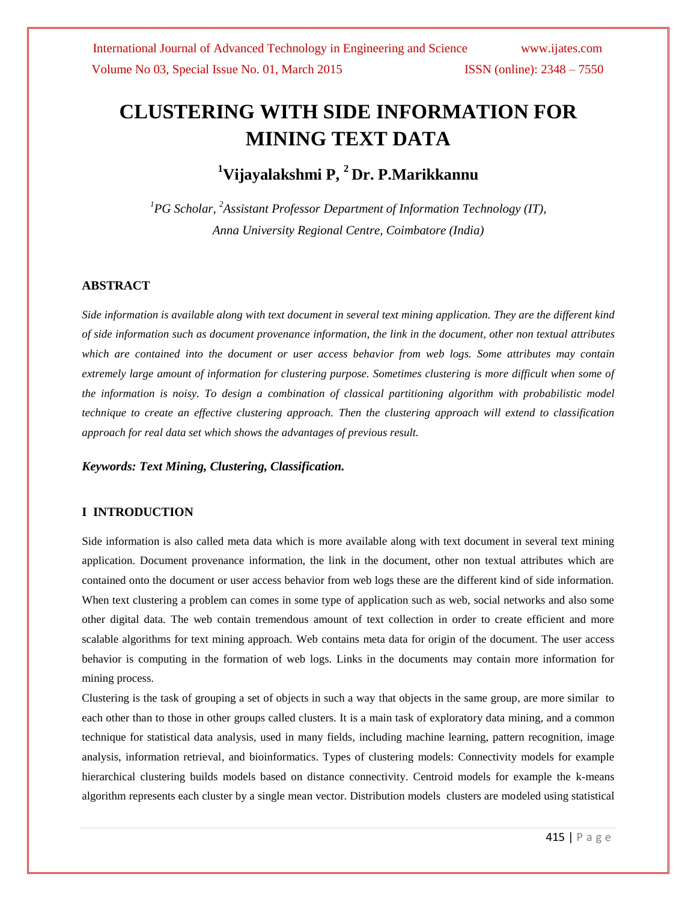# **CLUSTERING WITH SIDE INFORMATION FOR MINING TEXT DATA**

# **<sup>1</sup>Vijayalakshmi P, <sup>2</sup> Dr. P.Marikkannu**

*<sup>1</sup>PG Scholar, <sup>2</sup>Assistant Professor Department of Information Technology (IT), Anna University Regional Centre, Coimbatore (India)*

#### **ABSTRACT**

*Side information is available along with text document in several text mining application. They are the different kind of side information such as document provenance information, the link in the document, other non textual attributes which are contained into the document or user access behavior from web logs. Some attributes may contain extremely large amount of information for clustering purpose. Sometimes clustering is more difficult when some of the information is noisy. To design a combination of classical partitioning algorithm with probabilistic model technique to create an effective clustering approach. Then the clustering approach will extend to classification approach for real data set which shows the advantages of previous result.*

#### *Keywords: Text Mining, Clustering, Classification.*

#### **I INTRODUCTION**

Side information is also called meta data which is more available along with text document in several text mining application. Document provenance information, the link in the document, other non textual attributes which are contained onto the document or user access behavior from web logs these are the different kind of side information. When text clustering a problem can comes in some type of application such as web, social networks and also some other digital data. The web contain tremendous amount of text collection in order to create efficient and more scalable algorithms for text mining approach. Web contains meta data for origin of the document. The user access behavior is computing in the formation of web logs. Links in the documents may contain more information for mining process.

Clustering is the task of grouping a set of objects in such a way that objects in the same group, are more similar to each other than to those in other groups called clusters. It is a main task of exploratory [data mining,](http://en.wikipedia.org/wiki/Data_mining) and a common technique for [statistical](http://en.wikipedia.org/wiki/Statistics) [data analysis,](http://en.wikipedia.org/wiki/Data_analysis) used in many fields, including [machine learning,](http://en.wikipedia.org/wiki/Machine_learning) [pattern recognition,](http://en.wikipedia.org/wiki/Pattern_recognition) [image](http://en.wikipedia.org/wiki/Image_analysis)  [analysis,](http://en.wikipedia.org/wiki/Image_analysis) [information retrieval,](http://en.wikipedia.org/wiki/Information_retrieval) and [bioinformatics.](http://en.wikipedia.org/wiki/Bioinformatics) Types of clustering models: Connectivity models for example [hierarchical clustering](http://en.wikipedia.org/wiki/Hierarchical_clustering) builds models based on distance connectivity. Centroid models for example the [k-means](http://en.wikipedia.org/wiki/K-means_algorithm)  [algorithm](http://en.wikipedia.org/wiki/K-means_algorithm) represents each cluster by a single mean vector. Distribution models clusters are modeled using statistical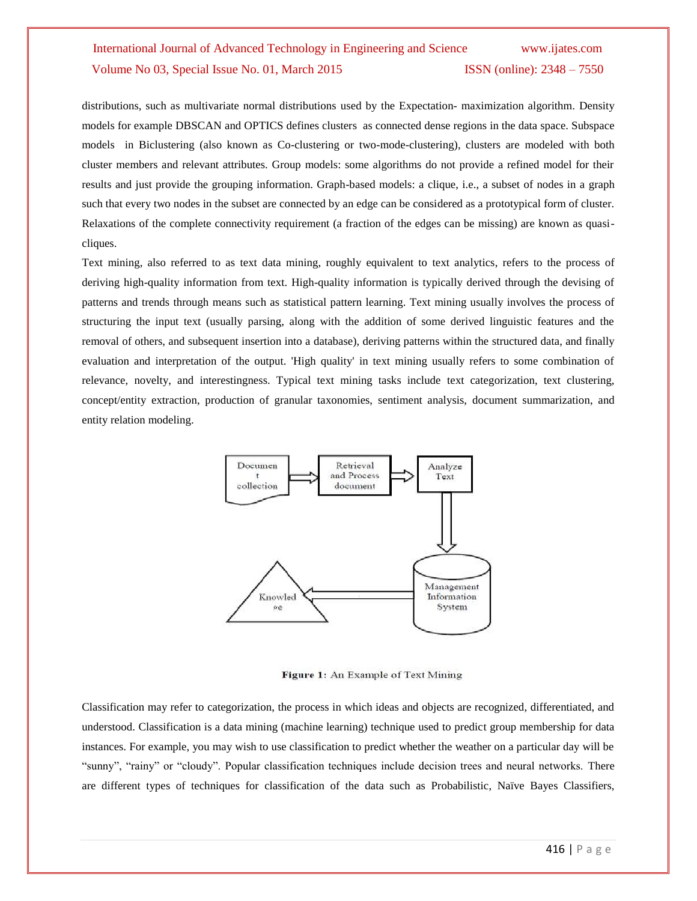# International Journal of Advanced Technology in Engineering and Science [www.ijates.com](http://www.ijates.com/) Volume No 03, Special Issue No. 01, March 2015 ISSN (online): 2348 – 7550

distributions, such as [multivariate normal distributions](http://en.wikipedia.org/wiki/Multivariate_normal_distribution) used by the Expectation- [maximization algorithm.](http://en.wikipedia.org/wiki/Expectation-maximization_algorithm) Density models for example [DBSCAN](http://en.wikipedia.org/wiki/DBSCAN) and [OPTICS](http://en.wikipedia.org/wiki/OPTICS) defines clusters as connected dense regions in the data space. Subspace models in [Biclustering](http://en.wikipedia.org/wiki/Biclustering) (also known as Co-clustering or two-mode-clustering), clusters are modeled with both cluster members and relevant attributes. Group models: some algorithms do not provide a refined model for their results and just provide the grouping information. Graph-based models: a [clique,](http://en.wikipedia.org/wiki/Clique_%28graph_theory%29) i.e., a subset of nodes in a [graph](http://en.wikipedia.org/wiki/Graph_%28mathematics%29) such that every two nodes in the subset are connected by an edge can be considered as a prototypical form of cluster. Relaxations of the complete connectivity requirement (a fraction of the edges can be missing) are known as quasicliques.

Text mining, also referred to as text [data mining,](http://en.wikipedia.org/wiki/Data_mining) roughly equivalent to [text analytics,](http://en.wikipedia.org/wiki/Text_mining#Text_mining_and_text_analytics) refers to the process of deriving high-quality [information](http://en.wikipedia.org/wiki/Information) from [text.](http://en.wikipedia.org/wiki/Plain_text) High-quality information is typically derived through the devising of patterns and trends through means such as [statistical pattern learning.](http://en.wikipedia.org/wiki/Pattern_recognition) Text mining usually involves the process of structuring the input text (usually parsing, along with the addition of some derived linguistic features and the removal of others, and subsequent insertion into a [database\)](http://en.wikipedia.org/wiki/Database), deriving patterns within the [structured data,](http://en.wikipedia.org/wiki/Structured_data) and finally evaluation and interpretation of the output. 'High quality' in text mining usually refers to some combination of [relevance,](http://en.wikipedia.org/wiki/Relevance_%28information_retrieval%29) [novelty,](http://en.wikipedia.org/wiki/Novelty_%28patent%29) and interestingness. Typical text mining tasks include [text categorization,](http://en.wikipedia.org/wiki/Text_categorization) [text clustering,](http://en.wikipedia.org/wiki/Text_clustering) [concept/entity extraction,](http://en.wikipedia.org/wiki/Concept_mining) production of granular taxonomies, [sentiment analysis,](http://en.wikipedia.org/wiki/Sentiment_analysis) [document summarization,](http://en.wikipedia.org/wiki/Document_summarization) and entity relation modeling.



Figure 1: An Example of Text Mining

Classification may refer to [categorization,](http://en.wikipedia.org/wiki/Categorization) the process in which ideas and objects are recognized, differentiated, and understood. Classification is a data mining (machine learning) technique used to predict group membership for data instances. For example, you may wish to use classification to predict whether the weather on a particular day will be "sunny", "rainy" or "cloudy". Popular classification techniques include decision trees and neural networks. There are different types of techniques for classification of the data such as Probabilistic, Naïve Bayes Classifiers,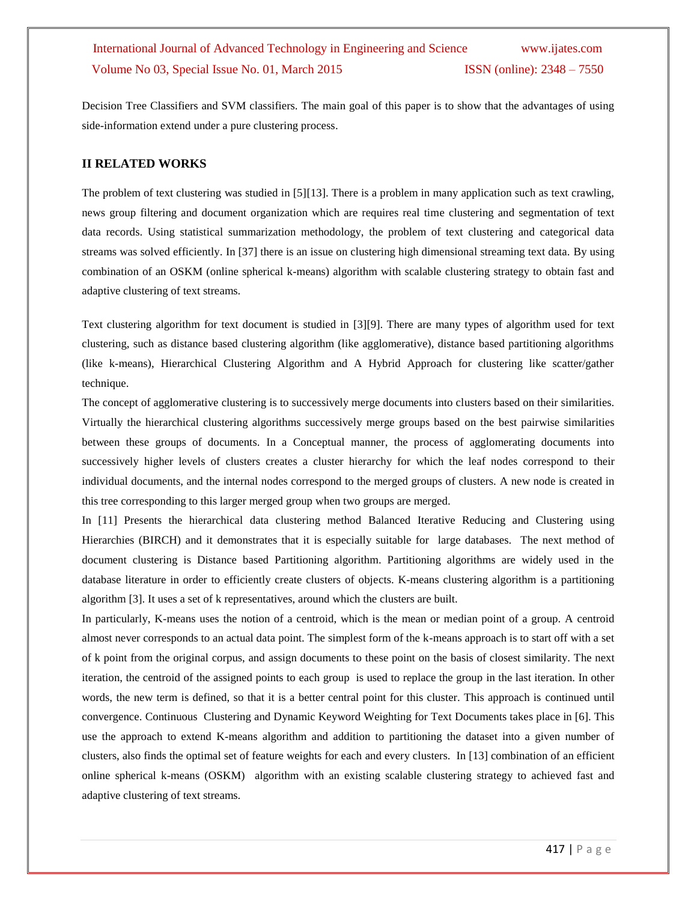Decision Tree Classifiers and SVM classifiers. The main goal of this paper is to show that the advantages of using side-information extend under a pure clustering process.

#### **II RELATED WORKS**

The problem of text clustering was studied in [5][13]. There is a problem in many application such as text crawling, news group filtering and document organization which are requires real time clustering and segmentation of text data records. Using statistical summarization methodology, the problem of text clustering and categorical data streams was solved efficiently. In [37] there is an issue on clustering high dimensional streaming text data. By using combination of an OSKM (online spherical k-means) algorithm with scalable clustering strategy to obtain fast and adaptive clustering of text streams.

Text clustering algorithm for text document is studied in [3][9]. There are many types of algorithm used for text clustering, such as distance based clustering algorithm (like agglomerative), distance based partitioning algorithms (like k-means), Hierarchical Clustering Algorithm and A Hybrid Approach for clustering like scatter/gather technique.

The concept of agglomerative clustering is to successively merge documents into clusters based on their similarities. Virtually the hierarchical clustering algorithms successively merge groups based on the best pairwise similarities between these groups of documents. In a Conceptual manner, the process of agglomerating documents into successively higher levels of clusters creates a cluster hierarchy for which the leaf nodes correspond to their individual documents, and the internal nodes correspond to the merged groups of clusters. A new node is created in this tree corresponding to this larger merged group when two groups are merged.

In [11] Presents the hierarchical data clustering method Balanced Iterative Reducing and Clustering using Hierarchies (BIRCH) and it demonstrates that it is especially suitable for large databases. The next method of document clustering is Distance based Partitioning algorithm. Partitioning algorithms are widely used in the database literature in order to efficiently create clusters of objects. K-means clustering algorithm is a partitioning algorithm [3]. It uses a set of k representatives, around which the clusters are built.

In particularly, K-means uses the notion of a centroid, which is the mean or median point of a group. A centroid almost never corresponds to an actual data point. The simplest form of the k-means approach is to start off with a set of k point from the original corpus, and assign documents to these point on the basis of closest similarity. The next iteration, the centroid of the assigned points to each group is used to replace the group in the last iteration. In other words, the new term is defined, so that it is a better central point for this cluster. This approach is continued until convergence. Continuous Clustering and Dynamic Keyword Weighting for Text Documents takes place in [6]. This use the approach to extend K-means algorithm and addition to partitioning the dataset into a given number of clusters, also finds the optimal set of feature weights for each and every clusters. In [13] combination of an efficient online spherical k-means (OSKM) algorithm with an existing scalable clustering strategy to achieved fast and adaptive clustering of text streams.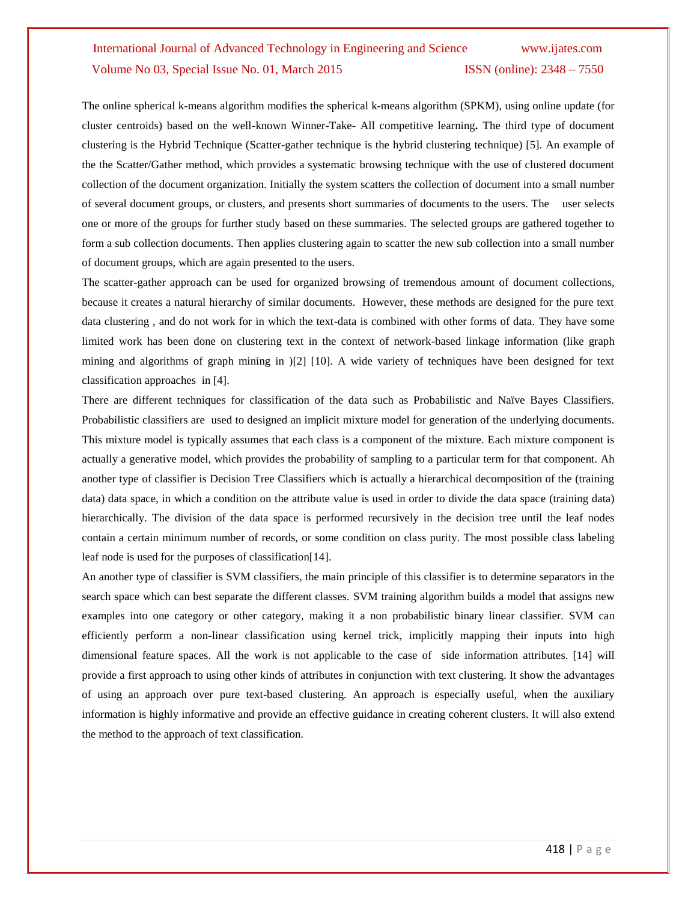## International Journal of Advanced Technology in Engineering and Science [www.ijates.com](http://www.ijates.com/) Volume No 03, Special Issue No. 01, March 2015 ISSN (online): 2348 – 7550

The online spherical k-means algorithm modifies the spherical k-means algorithm (SPKM), using online update (for cluster centroids) based on the well-known Winner-Take- All competitive learning**.** The third type of document clustering is the Hybrid Technique (Scatter-gather technique is the hybrid clustering technique) [5]. An example of the the Scatter/Gather method, which provides a systematic browsing technique with the use of clustered document collection of the document organization. Initially the system scatters the collection of document into a small number of several document groups, or clusters, and presents short summaries of documents to the users. The user selects one or more of the groups for further study based on these summaries. The selected groups are gathered together to form a sub collection documents. Then applies clustering again to scatter the new sub collection into a small number of document groups, which are again presented to the users.

The scatter-gather approach can be used for organized browsing of tremendous amount of document collections, because it creates a natural hierarchy of similar documents. However, these methods are designed for the pure text data clustering , and do not work for in which the text-data is combined with other forms of data. They have some limited work has been done on clustering text in the context of network-based linkage information (like graph mining and algorithms of graph mining in )[2] [10]. A wide variety of techniques have been designed for text classification approaches in [4].

There are different techniques for classification of the data such as Probabilistic and Naïve Bayes Classifiers. Probabilistic classifiers are used to designed an implicit mixture model for generation of the underlying documents. This mixture model is typically assumes that each class is a component of the mixture. Each mixture component is actually a generative model, which provides the probability of sampling to a particular term for that component. Ah another type of classifier is Decision Tree Classifiers which is actually a hierarchical decomposition of the (training data) data space, in which a condition on the attribute value is used in order to divide the data space (training data) hierarchically. The division of the data space is performed recursively in the decision tree until the leaf nodes contain a certain minimum number of records, or some condition on class purity. The most possible class labeling leaf node is used for the purposes of classification[14].

An another type of classifier is SVM classifiers, the main principle of this classifier is to determine separators in the search space which can best separate the different classes. SVM training algorithm builds a model that assigns new examples into one category or other category, making it a non probabilistic binary linear classifier. SVM can efficiently perform a non-linear classification using kernel trick, implicitly mapping their inputs into high dimensional feature spaces. All the work is not applicable to the case of side information attributes. [14] will provide a first approach to using other kinds of attributes in conjunction with text clustering. It show the advantages of using an approach over pure text-based clustering. An approach is especially useful, when the auxiliary information is highly informative and provide an effective guidance in creating coherent clusters. It will also extend the method to the approach of text classification.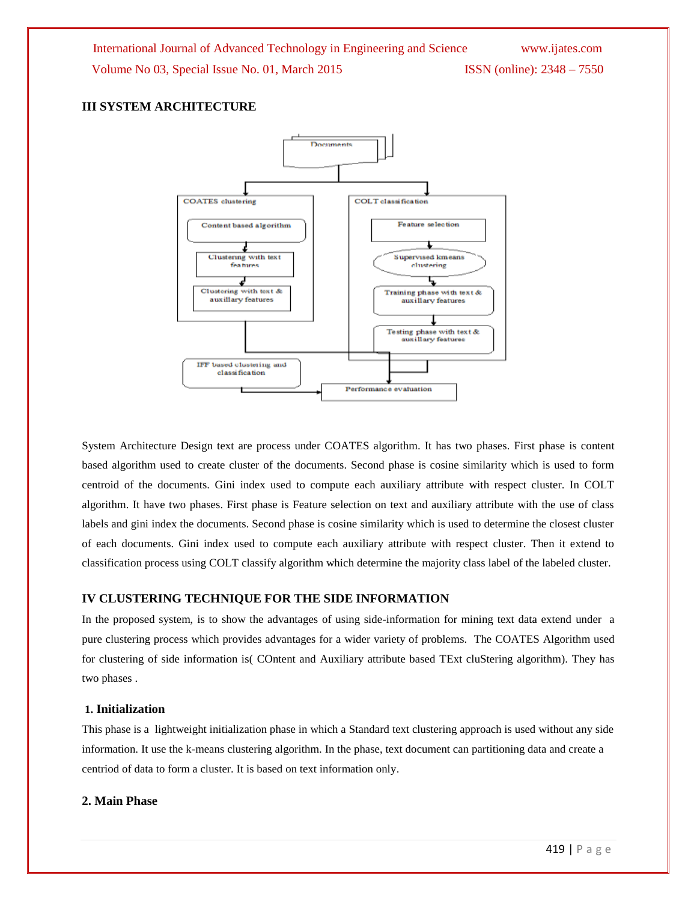

#### **III SYSTEM ARCHITECTURE**

System Architecture Design text are process under COATES algorithm. It has two phases. First phase is content based algorithm used to create cluster of the documents. Second phase is cosine similarity which is used to form centroid of the documents. Gini index used to compute each auxiliary attribute with respect cluster. In COLT algorithm. It have two phases. First phase is Feature selection on text and auxiliary attribute with the use of class labels and gini index the documents. Second phase is cosine similarity which is used to determine the closest cluster of each documents. Gini index used to compute each auxiliary attribute with respect cluster. Then it extend to classification process using COLT classify algorithm which determine the majority class label of the labeled cluster.

#### **IV CLUSTERING TECHNIQUE FOR THE SIDE INFORMATION**

In the proposed system, is to show the advantages of using side-information for mining text data extend under a pure clustering process which provides advantages for a wider variety of problems. The COATES Algorithm used for clustering of side information is( COntent and Auxiliary attribute based TExt cluStering algorithm). They has two phases .

#### **1. Initialization**

This phase is a lightweight initialization phase in which a Standard text clustering approach is used without any side information. It use the k-means clustering algorithm. In the phase, text document can partitioning data and create a centriod of data to form a cluster. It is based on text information only.

#### **2. Main Phase**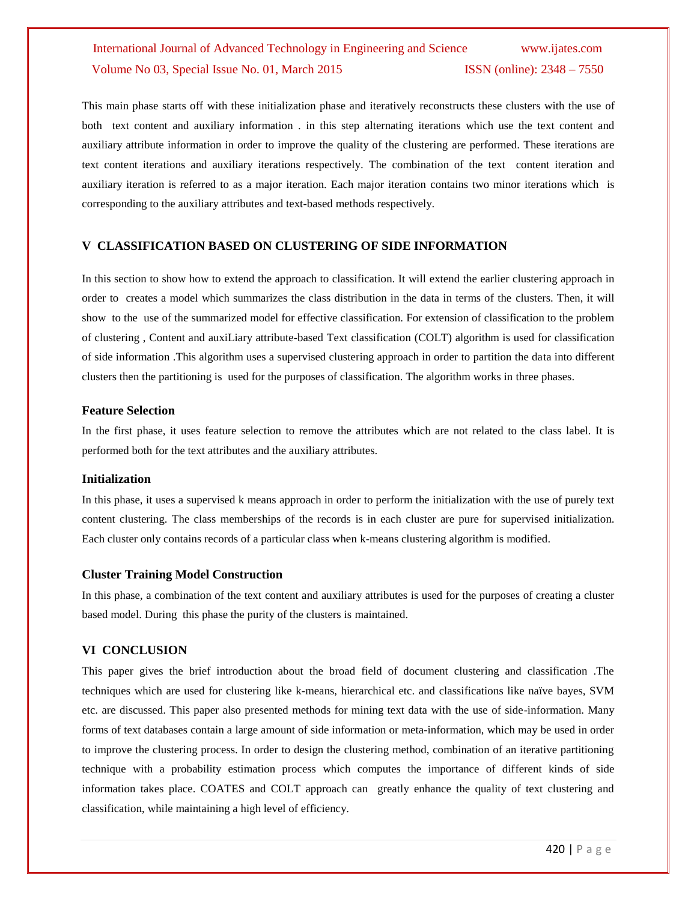# International Journal of Advanced Technology in Engineering and Science [www.ijates.com](http://www.ijates.com/) Volume No 03, Special Issue No. 01, March 2015 ISSN (online): 2348 – 7550

This main phase starts off with these initialization phase and iteratively reconstructs these clusters with the use of both text content and auxiliary information . in this step alternating iterations which use the text content and auxiliary attribute information in order to improve the quality of the clustering are performed. These iterations are text content iterations and auxiliary iterations respectively. The combination of the text content iteration and auxiliary iteration is referred to as a major iteration. Each major iteration contains two minor iterations which is corresponding to the auxiliary attributes and text-based methods respectively.

#### **V CLASSIFICATION BASED ON CLUSTERING OF SIDE INFORMATION**

In this section to show how to extend the approach to classification. It will extend the earlier clustering approach in order to creates a model which summarizes the class distribution in the data in terms of the clusters. Then, it will show to the use of the summarized model for effective classification. For extension of classification to the problem of clustering , Content and auxiLiary attribute-based Text classification (COLT) algorithm is used for classification of side information .This algorithm uses a supervised clustering approach in order to partition the data into different clusters then the partitioning is used for the purposes of classification. The algorithm works in three phases.

#### **Feature Selection**

In the first phase, it uses feature selection to remove the attributes which are not related to the class label. It is performed both for the text attributes and the auxiliary attributes.

#### **Initialization**

In this phase, it uses a supervised k means approach in order to perform the initialization with the use of purely text content clustering. The class memberships of the records is in each cluster are pure for supervised initialization. Each cluster only contains records of a particular class when k-means clustering algorithm is modified.

#### **Cluster Training Model Construction**

In this phase, a combination of the text content and auxiliary attributes is used for the purposes of creating a cluster based model. During this phase the purity of the clusters is maintained.

#### **VI CONCLUSION**

This paper gives the brief introduction about the broad field of document clustering and classification .The techniques which are used for clustering like k-means, hierarchical etc. and classifications like naïve bayes, SVM etc. are discussed. This paper also presented methods for mining text data with the use of side-information. Many forms of text databases contain a large amount of side information or meta-information, which may be used in order to improve the clustering process. In order to design the clustering method, combination of an iterative partitioning technique with a probability estimation process which computes the importance of different kinds of side information takes place. COATES and COLT approach can greatly enhance the quality of text clustering and classification, while maintaining a high level of efficiency.